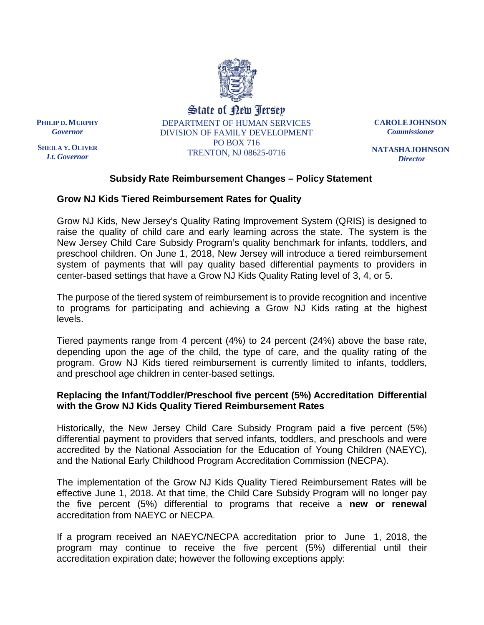

State of new Tersey DEPARTMENT OF HUMAN SERVICES DIVISION OF FAMILY DEVELOPMENT PO BOX 716

**CAROLEJOHNSON** *Commissioner*

**NATASHAJOHNSON** *Director*

# **Subsidy Rate Reimbursement Changes – Policy Statement**

TRENTON, NJ 08625-0716

### **Grow NJ Kids Tiered Reimbursement Rates for Quality**

Grow NJ Kids, New Jersey's Quality Rating Improvement System (QRIS) is designed to raise the quality of child care and early learning across the state. The system is the New Jersey Child Care Subsidy Program's quality benchmark for infants, toddlers, and preschool children. On June 1, 2018, New Jersey will introduce a tiered reimbursement system of payments that will pay quality based differential payments to providers in center-based settings that have a Grow NJ Kids Quality Rating level of 3, 4, or 5.

The purpose of the tiered system of reimbursement is to provide recognition and incentive to programs for participating and achieving a Grow NJ Kids rating at the highest levels.

Tiered payments range from 4 percent (4%) to 24 percent (24%) above the base rate, depending upon the age of the child, the type of care, and the quality rating of the program. Grow NJ Kids tiered reimbursement is currently limited to infants, toddlers, and preschool age children in center-based settings.

# **Replacing the Infant/Toddler/Preschool five percent (5%) Accreditation Differential with the Grow NJ Kids Quality Tiered Reimbursement Rates**

Historically, the New Jersey Child Care Subsidy Program paid a five percent (5%) differential payment to providers that served infants, toddlers, and preschools and were accredited by the National Association for the Education of Young Children (NAEYC), and the National Early Childhood Program Accreditation Commission (NECPA).

The implementation of the Grow NJ Kids Quality Tiered Reimbursement Rates will be effective June 1, 2018. At that time, the Child Care Subsidy Program will no longer pay the five percent (5%) differential to programs that receive a **new or renewal** accreditation from NAEYC or NECPA.

If a program received an NAEYC/NECPA accreditation prior to June 1, 2018, the program may continue to receive the five percent (5%) differential until their accreditation expiration date; however the following exceptions apply:

**PHILIP D. MURPHY** *Governor*

**SHEILA Y. OLIVER** *Lt. Governor*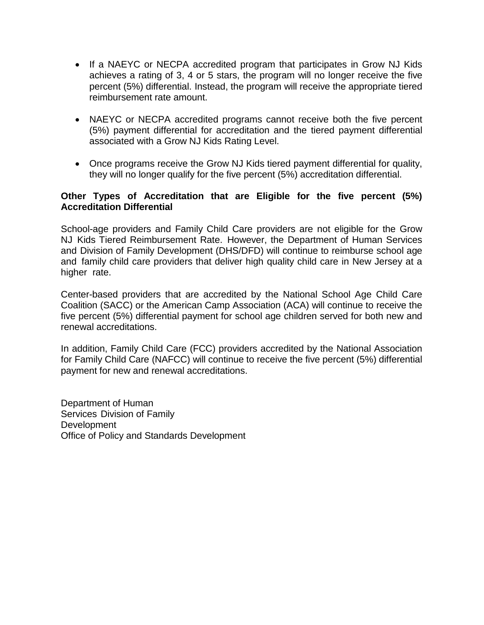- If a NAEYC or NECPA accredited program that participates in Grow NJ Kids achieves a rating of 3, 4 or 5 stars, the program will no longer receive the five percent (5%) differential. Instead, the program will receive the appropriate tiered reimbursement rate amount.
- NAEYC or NECPA accredited programs cannot receive both the five percent (5%) payment differential for accreditation and the tiered payment differential associated with a Grow NJ Kids Rating Level.
- Once programs receive the Grow NJ Kids tiered payment differential for quality, they will no longer qualify for the five percent (5%) accreditation differential.

### **Other Types of Accreditation that are Eligible for the five percent (5%) Accreditation Differential**

School-age providers and Family Child Care providers are not eligible for the Grow NJ Kids Tiered Reimbursement Rate. However, the Department of Human Services and Division of Family Development (DHS/DFD) will continue to reimburse school age and family child care providers that deliver high quality child care in New Jersey at a higher rate.

Center-based providers that are accredited by the National School Age Child Care Coalition (SACC) or the American Camp Association (ACA) will continue to receive the five percent (5%) differential payment for school age children served for both new and renewal accreditations.

In addition, Family Child Care (FCC) providers accredited by the National Association for Family Child Care (NAFCC) will continue to receive the five percent (5%) differential payment for new and renewal accreditations.

Department of Human Services Division of Family **Development** Office of Policy and Standards Development